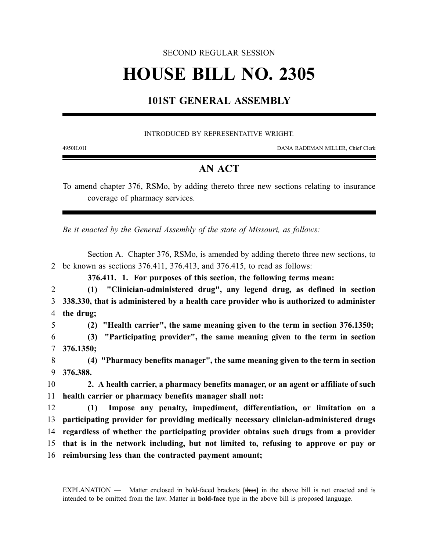## SECOND REGULAR SESSION

# **HOUSE BILL NO. 2305**

# **101ST GENERAL ASSEMBLY**

### INTRODUCED BY REPRESENTATIVE WRIGHT.

4950H.01I DANA RADEMAN MILLER, Chief Clerk

## **AN ACT**

To amend chapter 376, RSMo, by adding thereto three new sections relating to insurance coverage of pharmacy services.

*Be it enacted by the General Assembly of the state of Missouri, as follows:*

Section A. Chapter 376, RSMo, is amended by adding thereto three new sections, to 2 be known as sections 376.411, 376.413, and 376.415, to read as follows:

**376.411. 1. For purposes of this section, the following terms mean:**

2 **(1) "Clinician-administered drug", any legend drug, as defined in section** 3 **338.330, that is administered by a health care provider who is authorized to administer** 4 **the drug;**

5 **(2) "Health carrier", the same meaning given to the term in section 376.1350;**

6 **(3) "Participating provider", the same meaning given to the term in section** 7 **376.1350;**

8 **(4) "Pharmacy benefits manager", the same meaning given to the term in section** 9 **376.388.**

10 **2. A health carrier, a pharmacy benefits manager, or an agent or affiliate of such** 11 **health carrier or pharmacy benefits manager shall not:**

 **(1) Impose any penalty, impediment, differentiation, or limitation on a participating provider for providing medically necessary clinician-administered drugs regardless of whether the participating provider obtains such drugs from a provider that is in the network including, but not limited to, refusing to approve or pay or reimbursing less than the contracted payment amount;**

EXPLANATION — Matter enclosed in bold-faced brackets **[**thus**]** in the above bill is not enacted and is intended to be omitted from the law. Matter in **bold-face** type in the above bill is proposed language.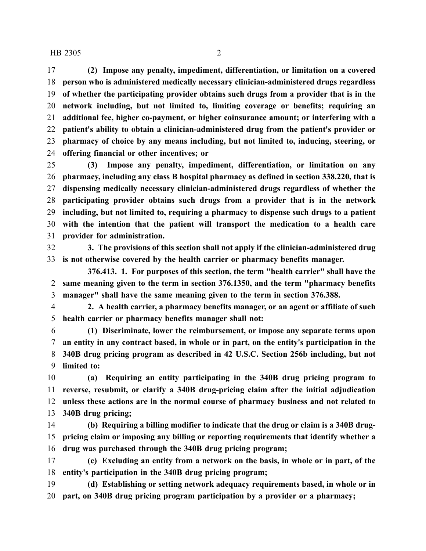#### HB 2305 2

 **(2) Impose any penalty, impediment, differentiation, or limitation on a covered person who is administered medically necessary clinician-administered drugs regardless of whether the participating provider obtains such drugs from a provider that is in the network including, but not limited to, limiting coverage or benefits; requiring an additional fee, higher co-payment, or higher coinsurance amount; or interfering with a patient's ability to obtain a clinician-administered drug from the patient's provider or pharmacy of choice by any means including, but not limited to, inducing, steering, or offering financial or other incentives; or**

 **(3) Impose any penalty, impediment, differentiation, or limitation on any pharmacy, including any class B hospital pharmacy as defined in section 338.220, that is dispensing medically necessary clinician-administered drugs regardless of whether the participating provider obtains such drugs from a provider that is in the network including, but not limited to, requiring a pharmacy to dispense such drugs to a patient with the intention that the patient will transport the medication to a health care provider for administration.**

 **3. The provisions of this section shall not apply if the clinician-administered drug is not otherwise covered by the health carrier or pharmacy benefits manager.**

**376.413. 1. For purposes of this section, the term "health carrier" shall have the same meaning given to the term in section 376.1350, and the term "pharmacy benefits manager" shall have the same meaning given to the term in section 376.388.**

 **2. A health carrier, a pharmacy benefits manager, or an agent or affiliate of such health carrier or pharmacy benefits manager shall not:**

 **(1) Discriminate, lower the reimbursement, or impose any separate terms upon an entity in any contract based, in whole or in part, on the entity's participation in the 340B drug pricing program as described in 42 U.S.C. Section 256b including, but not limited to:**

 **(a) Requiring an entity participating in the 340B drug pricing program to reverse, resubmit, or clarify a 340B drug-pricing claim after the initial adjudication unless these actions are in the normal course of pharmacy business and not related to 340B drug pricing;**

 **(b) Requiring a billing modifier to indicate that the drug or claim is a 340B drug- pricing claim or imposing any billing or reporting requirements that identify whether a drug was purchased through the 340B drug pricing program;**

 **(c) Excluding an entity from a network on the basis, in whole or in part, of the entity's participation in the 340B drug pricing program;**

 **(d) Establishing or setting network adequacy requirements based, in whole or in part, on 340B drug pricing program participation by a provider or a pharmacy;**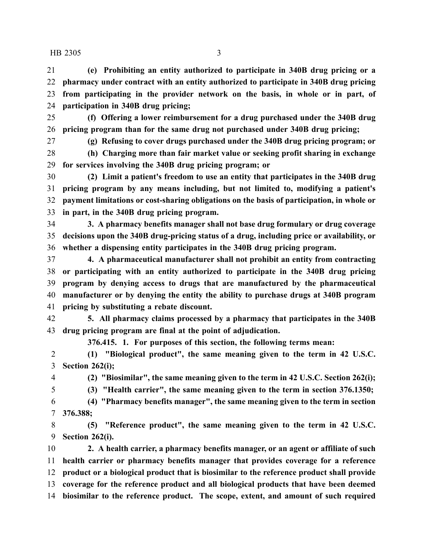#### HB 2305 3

 **(e) Prohibiting an entity authorized to participate in 340B drug pricing or a pharmacy under contract with an entity authorized to participate in 340B drug pricing from participating in the provider network on the basis, in whole or in part, of participation in 340B drug pricing;**

 **(f) Offering a lower reimbursement for a drug purchased under the 340B drug pricing program than for the same drug not purchased under 340B drug pricing;**

**(g) Refusing to cover drugs purchased under the 340B drug pricing program; or**

 **(h) Charging more than fair market value or seeking profit sharing in exchange for services involving the 340B drug pricing program; or**

 **(2) Limit a patient's freedom to use an entity that participates in the 340B drug pricing program by any means including, but not limited to, modifying a patient's payment limitations or cost-sharing obligations on the basis of participation, in whole or in part, in the 340B drug pricing program.**

 **3. A pharmacy benefits manager shall not base drug formulary or drug coverage decisions upon the 340B drug-pricing status of a drug, including price or availability, or whether a dispensing entity participates in the 340B drug pricing program.**

 **4. A pharmaceutical manufacturer shall not prohibit an entity from contracting or participating with an entity authorized to participate in the 340B drug pricing program by denying access to drugs that are manufactured by the pharmaceutical manufacturer or by denying the entity the ability to purchase drugs at 340B program pricing by substituting a rebate discount.**

 **5. All pharmacy claims processed by a pharmacy that participates in the 340B drug pricing program are final at the point of adjudication.**

**376.415. 1. For purposes of this section, the following terms mean:**

 **(1) "Biological product", the same meaning given to the term in 42 U.S.C. Section 262(i);**

**(2) "Biosimilar", the same meaning given to the term in 42 U.S.C. Section 262(i);**

**(3) "Health carrier", the same meaning given to the term in section 376.1350;**

 **(4) "Pharmacy benefits manager", the same meaning given to the term in section 376.388;**

 **(5) "Reference product", the same meaning given to the term in 42 U.S.C. Section 262(i).**

 **2. A health carrier, a pharmacy benefits manager, or an agent or affiliate of such health carrier or pharmacy benefits manager that provides coverage for a reference product or a biological product that is biosimilar to the reference product shall provide coverage for the reference product and all biological products that have been deemed biosimilar to the reference product. The scope, extent, and amount of such required**